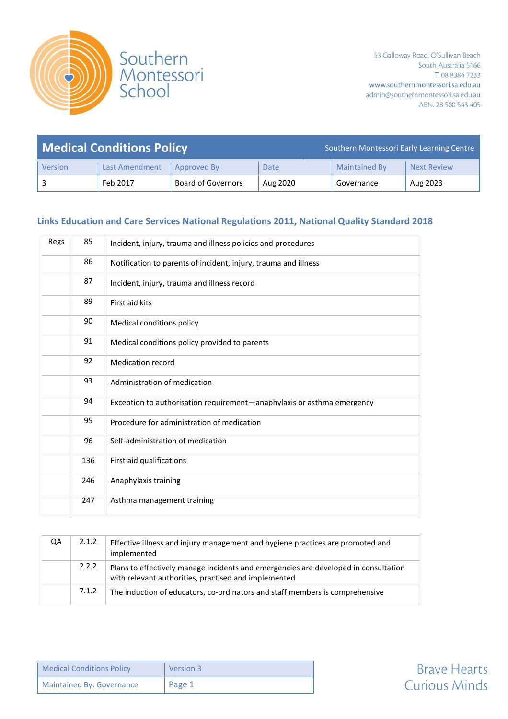

| <b>Medical Conditions Policy</b> |                |                           | Southern Montessori Early Learning Centre |                      |                    |
|----------------------------------|----------------|---------------------------|-------------------------------------------|----------------------|--------------------|
| Version                          | Last Amendment | Approved By               | Date                                      | <b>Maintained By</b> | <b>Next Review</b> |
|                                  | Feb 2017       | <b>Board of Governors</b> | Aug 2020                                  | Governance           | Aug 2023           |

#### **Links Education and Care Services National Regulations 2011, National Quality Standard 2018**

| Regs | 85  | Incident, injury, trauma and illness policies and procedures           |
|------|-----|------------------------------------------------------------------------|
|      | 86  | Notification to parents of incident, injury, trauma and illness        |
|      | 87  | Incident, injury, trauma and illness record                            |
|      | 89  | First aid kits                                                         |
|      | 90  | Medical conditions policy                                              |
|      | 91  | Medical conditions policy provided to parents                          |
|      | 92  | Medication record                                                      |
|      | 93  | Administration of medication                                           |
|      | 94  | Exception to authorisation requirement-anaphylaxis or asthma emergency |
|      | 95  | Procedure for administration of medication                             |
|      | 96  | Self-administration of medication                                      |
|      | 136 | First aid qualifications                                               |
|      | 246 | Anaphylaxis training                                                   |
|      | 247 | Asthma management training                                             |
|      |     |                                                                        |

| QA | 2.1.2 | Effective illness and injury management and hygiene practices are promoted and<br>implemented                                               |
|----|-------|---------------------------------------------------------------------------------------------------------------------------------------------|
|    | 2.2.2 | Plans to effectively manage incidents and emergencies are developed in consultation<br>with relevant authorities, practised and implemented |
|    | 7.1.2 | The induction of educators, co-ordinators and staff members is comprehensive                                                                |

| <b>Medical Conditions Policy</b> | Version 3 |
|----------------------------------|-----------|
| <b>Maintained By: Governance</b> | ' Page 1  |

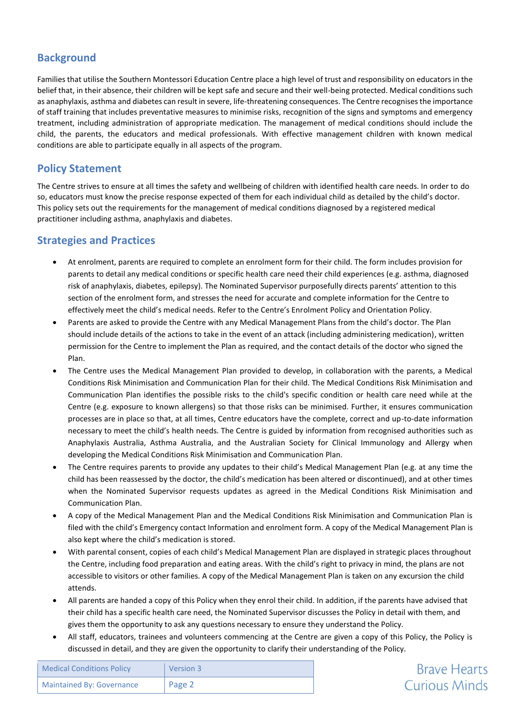#### **Background**

Families that utilise the Southern Montessori Education Centre place a high level of trust and responsibility on educators in the belief that, in their absence, their children will be kept safe and secure and their well-being protected. Medical conditions such as anaphylaxis, asthma and diabetes can result in severe, life-threatening consequences. The Centre recognises the importance of staff training that includes preventative measures to minimise risks, recognition of the signs and symptoms and emergency treatment, including administration of appropriate medication. The management of medical conditions should include the child, the parents, the educators and medical professionals. With effective management children with known medical conditions are able to participate equally in all aspects of the program.

## **Policy Statement**

The Centre strives to ensure at all times the safety and wellbeing of children with identified health care needs. In order to do so, educators must know the precise response expected of them for each individual child as detailed by the child's doctor. This policy sets out the requirements for the management of medical conditions diagnosed by a registered medical practitioner including asthma, anaphylaxis and diabetes.

## **Strategies and Practices**

- At enrolment, parents are required to complete an enrolment form for their child. The form includes provision for parents to detail any medical conditions or specific health care need their child experiences (e.g. asthma, diagnosed risk of anaphylaxis, diabetes, epilepsy). The Nominated Supervisor purposefully directs parents' attention to this section of the enrolment form, and stresses the need for accurate and complete information for the Centre to effectively meet the child's medical needs. Refer to the Centre's Enrolment Policy and Orientation Policy.
- Parents are asked to provide the Centre with any Medical Management Plans from the child's doctor. The Plan should include details of the actions to take in the event of an attack (including administering medication), written permission for the Centre to implement the Plan as required, and the contact details of the doctor who signed the Plan.
- The Centre uses the Medical Management Plan provided to develop, in collaboration with the parents, a Medical Conditions Risk Minimisation and Communication Plan for their child. The Medical Conditions Risk Minimisation and Communication Plan identifies the possible risks to the child's specific condition or health care need while at the Centre (e.g. exposure to known allergens) so that those risks can be minimised. Further, it ensures communication processes are in place so that, at all times, Centre educators have the complete, correct and up-to-date information necessary to meet the child's health needs. The Centre is guided by information from recognised authorities such as Anaphylaxis Australia, Asthma Australia, and the Australian Society for Clinical Immunology and Allergy when developing the Medical Conditions Risk Minimisation and Communication Plan.
- The Centre requires parents to provide any updates to their child's Medical Management Plan (e.g. at any time the child has been reassessed by the doctor, the child's medication has been altered or discontinued), and at other times when the Nominated Supervisor requests updates as agreed in the Medical Conditions Risk Minimisation and Communication Plan.
- A copy of the Medical Management Plan and the Medical Conditions Risk Minimisation and Communication Plan is filed with the child's Emergency contact Information and enrolment form. A copy of the Medical Management Plan is also kept where the child's medication is stored.
- With parental consent, copies of each child's Medical Management Plan are displayed in strategic places throughout the Centre, including food preparation and eating areas. With the child's right to privacy in mind, the plans are not accessible to visitors or other families. A copy of the Medical Management Plan is taken on any excursion the child attends.
- All parents are handed a copy of this Policy when they enrol their child. In addition, if the parents have advised that their child has a specific health care need, the Nominated Supervisor discusses the Policy in detail with them, and gives them the opportunity to ask any questions necessary to ensure they understand the Policy.
- All staff, educators, trainees and volunteers commencing at the Centre are given a copy of this Policy, the Policy is discussed in detail, and they are given the opportunity to clarify their understanding of the Policy.

| <b>Medical Conditions Policy</b> | Version 3 |
|----------------------------------|-----------|
| <b>Maintained By: Governance</b> | Page 2    |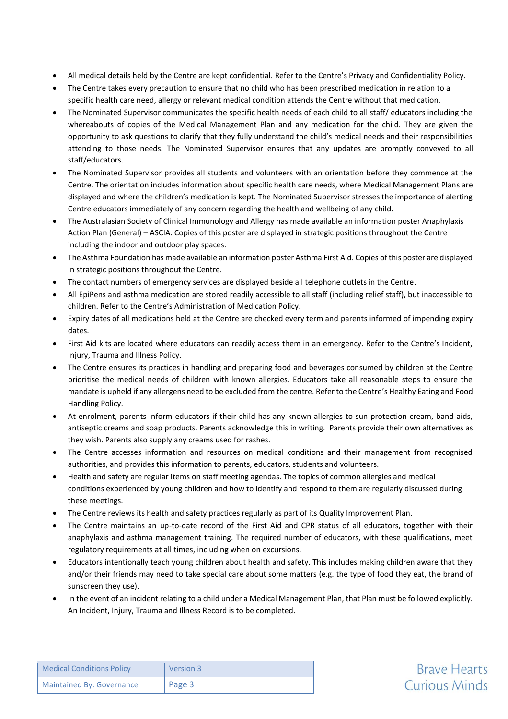- All medical details held by the Centre are kept confidential. Refer to the Centre's Privacy and Confidentiality Policy.
- The Centre takes every precaution to ensure that no child who has been prescribed medication in relation to a specific health care need, allergy or relevant medical condition attends the Centre without that medication.
- The Nominated Supervisor communicates the specific health needs of each child to all staff/ educators including the whereabouts of copies of the Medical Management Plan and any medication for the child. They are given the opportunity to ask questions to clarify that they fully understand the child's medical needs and their responsibilities attending to those needs. The Nominated Supervisor ensures that any updates are promptly conveyed to all staff/educators.
- The Nominated Supervisor provides all students and volunteers with an orientation before they commence at the Centre. The orientation includes information about specific health care needs, where Medical Management Plans are displayed and where the children's medication is kept. The Nominated Supervisor stresses the importance of alerting Centre educators immediately of any concern regarding the health and wellbeing of any child.
- The Australasian Society of Clinical Immunology and Allergy has made available an information poster Anaphylaxis Action Plan (General) – ASCIA. Copies of this poster are displayed in strategic positions throughout the Centre including the indoor and outdoor play spaces.
- The Asthma Foundation has made available an information poster Asthma First Aid. Copies of this poster are displayed in strategic positions throughout the Centre.
- The contact numbers of emergency services are displayed beside all telephone outlets in the Centre.
- All EpiPens and asthma medication are stored readily accessible to all staff (including relief staff), but inaccessible to children. Refer to the Centre's Administration of Medication Policy.
- Expiry dates of all medications held at the Centre are checked every term and parents informed of impending expiry dates.
- First Aid kits are located where educators can readily access them in an emergency. Refer to the Centre's Incident, Injury, Trauma and Illness Policy.
- The Centre ensures its practices in handling and preparing food and beverages consumed by children at the Centre prioritise the medical needs of children with known allergies. Educators take all reasonable steps to ensure the mandate is upheld if any allergens need to be excluded from the centre. Refer to the Centre's Healthy Eating and Food Handling Policy.
- At enrolment, parents inform educators if their child has any known allergies to sun protection cream, band aids, antiseptic creams and soap products. Parents acknowledge this in writing. Parents provide their own alternatives as they wish. Parents also supply any creams used for rashes.
- The Centre accesses information and resources on medical conditions and their management from recognised authorities, and provides this information to parents, educators, students and volunteers.
- Health and safety are regular items on staff meeting agendas. The topics of common allergies and medical conditions experienced by young children and how to identify and respond to them are regularly discussed during these meetings.
- The Centre reviews its health and safety practices regularly as part of its Quality Improvement Plan.
- The Centre maintains an up-to-date record of the First Aid and CPR status of all educators, together with their anaphylaxis and asthma management training. The required number of educators, with these qualifications, meet regulatory requirements at all times, including when on excursions.
- Educators intentionally teach young children about health and safety. This includes making children aware that they and/or their friends may need to take special care about some matters (e.g. the type of food they eat, the brand of sunscreen they use).
- In the event of an incident relating to a child under a Medical Management Plan, that Plan must be followed explicitly. An Incident, Injury, Trauma and Illness Record is to be completed.

| <b>Medical Conditions Policy</b> | Version 3 |
|----------------------------------|-----------|
| <b>Maintained By: Governance</b> | Page 3    |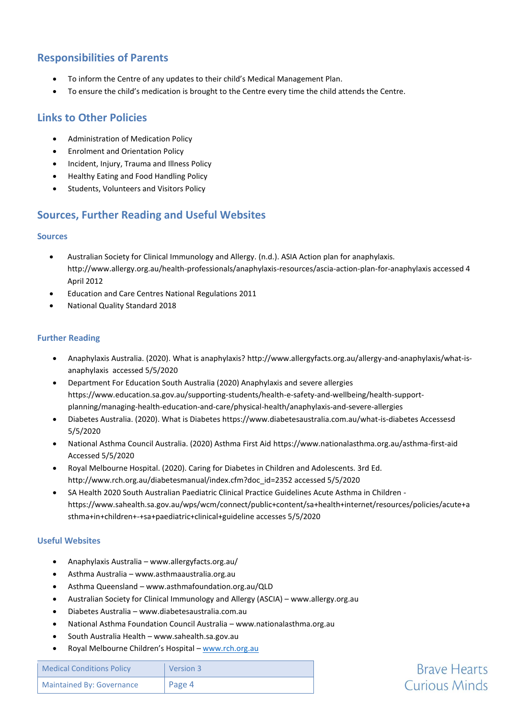## **Responsibilities of Parents**

- To inform the Centre of any updates to their child's Medical Management Plan.
- To ensure the child's medication is brought to the Centre every time the child attends the Centre.

#### **Links to Other Policies**

- Administration of Medication Policy
- Enrolment and Orientation Policy
- Incident, Injury, Trauma and Illness Policy
- Healthy Eating and Food Handling Policy
- Students, Volunteers and Visitors Policy

## **Sources, Further Reading and Useful Websites**

#### **Sources**

- Australian Society for Clinical Immunology and Allergy. (n.d.). ASIA Action plan for anaphylaxis. http://www.allergy.org.au/health-professionals/anaphylaxis-resources/ascia-action-plan-for-anaphylaxis accessed 4 April 2012
- Education and Care Centres National Regulations 2011
- National Quality Standard 2018

#### **Further Reading**

- Anaphylaxis Australia. (2020). What is anaphylaxis[? http://www.allergyfacts.org.au/allergy-and-anaphylaxis/what-is](http://www.allergyfacts.org.au/allergy-and-anaphylaxis/what-is-anaphylaxis%20%20accessed%205/5/2020)[anaphylaxis accessed 5/5/2020](http://www.allergyfacts.org.au/allergy-and-anaphylaxis/what-is-anaphylaxis%20%20accessed%205/5/2020)
- Department For Education South Australia (2020) Anaphylaxis and severe allergies [https://www.education.sa.gov.au/supporting-students/health-e-safety-and-wellbeing/health-support](https://www.education.sa.gov.au/supporting-students/health-e-safety-and-wellbeing/health-support-planning/managing-health-education-and-care/physical-health/anaphylaxis-and-severe-allergies)[planning/managing-health-education-and-care/physical-health/anaphylaxis-and-severe-allergies](https://www.education.sa.gov.au/supporting-students/health-e-safety-and-wellbeing/health-support-planning/managing-health-education-and-care/physical-health/anaphylaxis-and-severe-allergies)
- Diabetes Australia. (2020). What is Diabete[s https://www.diabetesaustralia.com.au/what-is-diabetes](https://www.diabetesaustralia.com.au/what-is-diabetes) Accessesd 5/5/2020
- National Asthma Council Australia. (2020) Asthma First Aid<https://www.nationalasthma.org.au/asthma-first-aid> Accessed 5/5/2020
- Royal Melbourne Hospital. (2020). Caring for Diabetes in Children and Adolescents. 3rd Ed. [http://www.rch.org.au/diabetesmanual/index.cfm?doc\\_id=2352](http://www.rch.org.au/diabetesmanual/index.cfm?doc_id=2352) accessed 5/5/2020
- SA Health 2020 South Australian Paediatric Clinical Practice Guidelines Acute Asthma in Children [https://www.sahealth.sa.gov.au/wps/wcm/connect/public+content/sa+health+internet/resources/policies/acute+a](https://www.sahealth.sa.gov.au/wps/wcm/connect/public+content/sa+health+internet/resources/policies/acute+asthma+in+children+-+sa+paediatric+clinical+guideline) [sthma+in+children+-+sa+paediatric+clinical+guideline](https://www.sahealth.sa.gov.au/wps/wcm/connect/public+content/sa+health+internet/resources/policies/acute+asthma+in+children+-+sa+paediatric+clinical+guideline) accesses 5/5/2020

#### **Useful Websites**

- Anaphylaxis Australia www.allergyfacts.org.au/
- Asthma Australia www.asthmaaustralia.org.au
- Asthma Queensland www.asthmafoundation.org.au/QLD
- Australian Society for Clinical Immunology and Allergy (ASCIA) www.allergy.org.au
- Diabetes Australia www.diabetesaustralia.com.au
- National Asthma Foundation Council Australia www.nationalasthma.org.au
- South Australia Health www.sahealth.sa.gov.au
- Royal Melbourne Children's Hospital [www.rch.org.au](http://www.rch.org.au/)

| <b>Medical Conditions Policy</b> | Version 3 |
|----------------------------------|-----------|
| <b>Maintained By: Governance</b> | Page 4    |